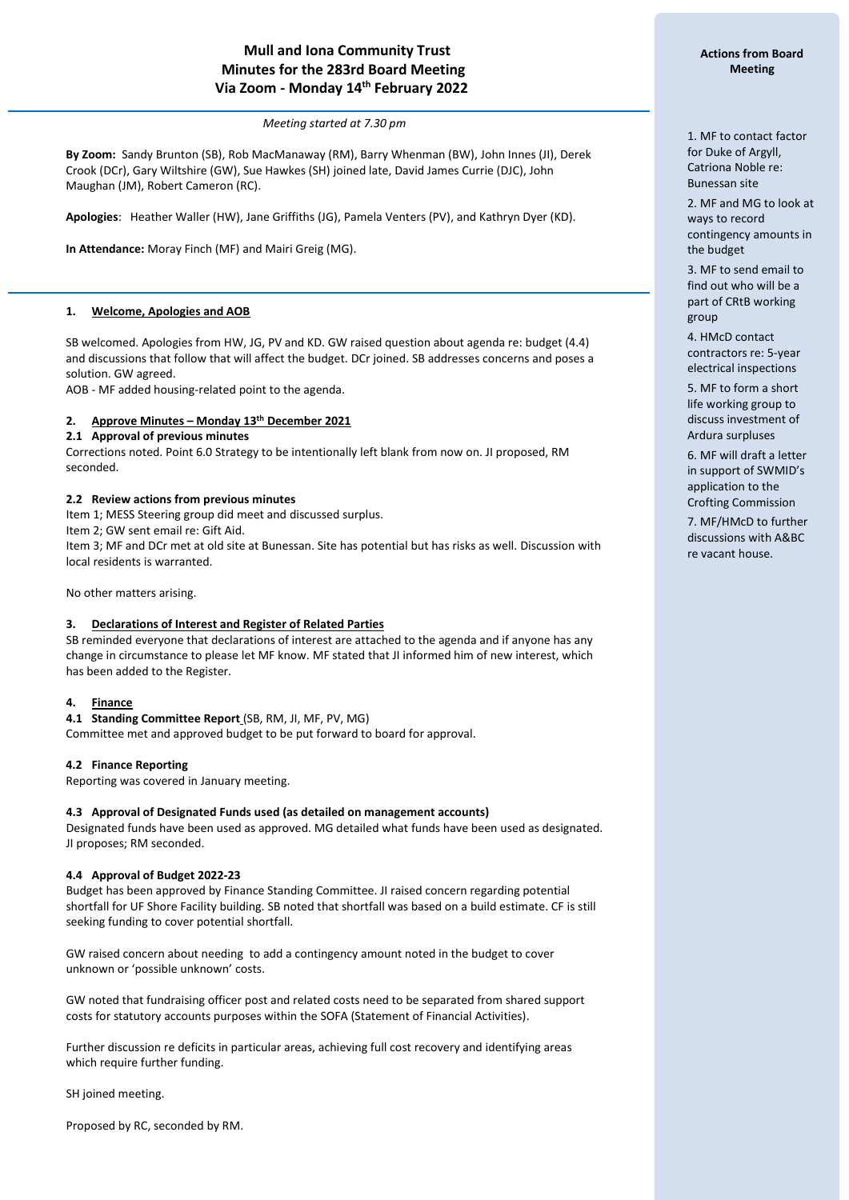# **Mull and Iona Community Trust Minutes for the 283rd Board Meeting Via Zoom - Monday 14 th February 2022**

*Meeting started at 7.30 pm*

**By Zoom:** Sandy Brunton (SB), Rob MacManaway (RM), Barry Whenman (BW), John Innes (JI), Derek Crook (DCr), Gary Wiltshire (GW), Sue Hawkes (SH) joined late, David James Currie (DJC), John Maughan (JM), Robert Cameron (RC).

**Apologies**: Heather Waller (HW), Jane Griffiths (JG), Pamela Venters (PV), and Kathryn Dyer (KD).

**In Attendance:** Moray Finch (MF) and Mairi Greig (MG).

### **1. Welcome, Apologies and AOB**

í

SB welcomed. Apologies from HW, JG, PV and KD. GW raised question about agenda re: budget (4.4) and discussions that follow that will affect the budget. DCr joined. SB addresses concerns and poses a solution. GW agreed.

AOB - MF added housing-related point to the agenda.

### **2. Approve Minutes – Monday 13th December 2021**

# **2.1 Approval of previous minutes**

Corrections noted. Point 6.0 Strategy to be intentionally left blank from now on. JI proposed, RM seconded.

### **2.2 Review actions from previous minutes**

Item 1; MESS Steering group did meet and discussed surplus.

Item 2; GW sent email re: Gift Aid.

Item 3; MF and DCr met at old site at Bunessan. Site has potential but has risks as well. Discussion with local residents is warranted.

No other matters arising.

### **3. Declarations of Interest and Register of Related Parties**

SB reminded everyone that declarations of interest are attached to the agenda and if anyone has any change in circumstance to please let MF know. MF stated that JI informed him of new interest, which has been added to the Register.

### **4. Finance**

**4.1 Standing Committee Report** (SB, RM, JI, MF, PV, MG)

Committee met and approved budget to be put forward to board for approval.

### **4.2 Finance Reporting**

Reporting was covered in January meeting.

### **4.3 Approval of Designated Funds used (as detailed on management accounts)**

Designated funds have been used as approved. MG detailed what funds have been used as designated. JI proposes; RM seconded.

### **4.4 Approval of Budget 2022-23**

Budget has been approved by Finance Standing Committee. JI raised concern regarding potential shortfall for UF Shore Facility building. SB noted that shortfall was based on a build estimate. CF is still seeking funding to cover potential shortfall.

GW raised concern about needing to add a contingency amount noted in the budget to cover unknown or 'possible unknown' costs.

GW noted that fundraising officer post and related costs need to be separated from shared support costs for statutory accounts purposes within the SOFA (Statement of Financial Activities).

Further discussion re deficits in particular areas, achieving full cost recovery and identifying areas which require further funding.

SH joined meeting.

Proposed by RC, seconded by RM.

1. MF to contact factor for Duke of Argyll, Catriona Noble re: Bunessan site

2. MF and MG to look at ways to record contingency amounts in the budget

3. MF to send email to find out who will be a part of CRtB working group

4. HMcD contact contractors re: 5-year electrical inspections

5. MF to form a short life working group to discuss investment of Ardura surpluses

6. MF will draft a letter in support of SWMID's application to the Crofting Commission

7. MF/HMcD to further discussions with A&BC re vacant house.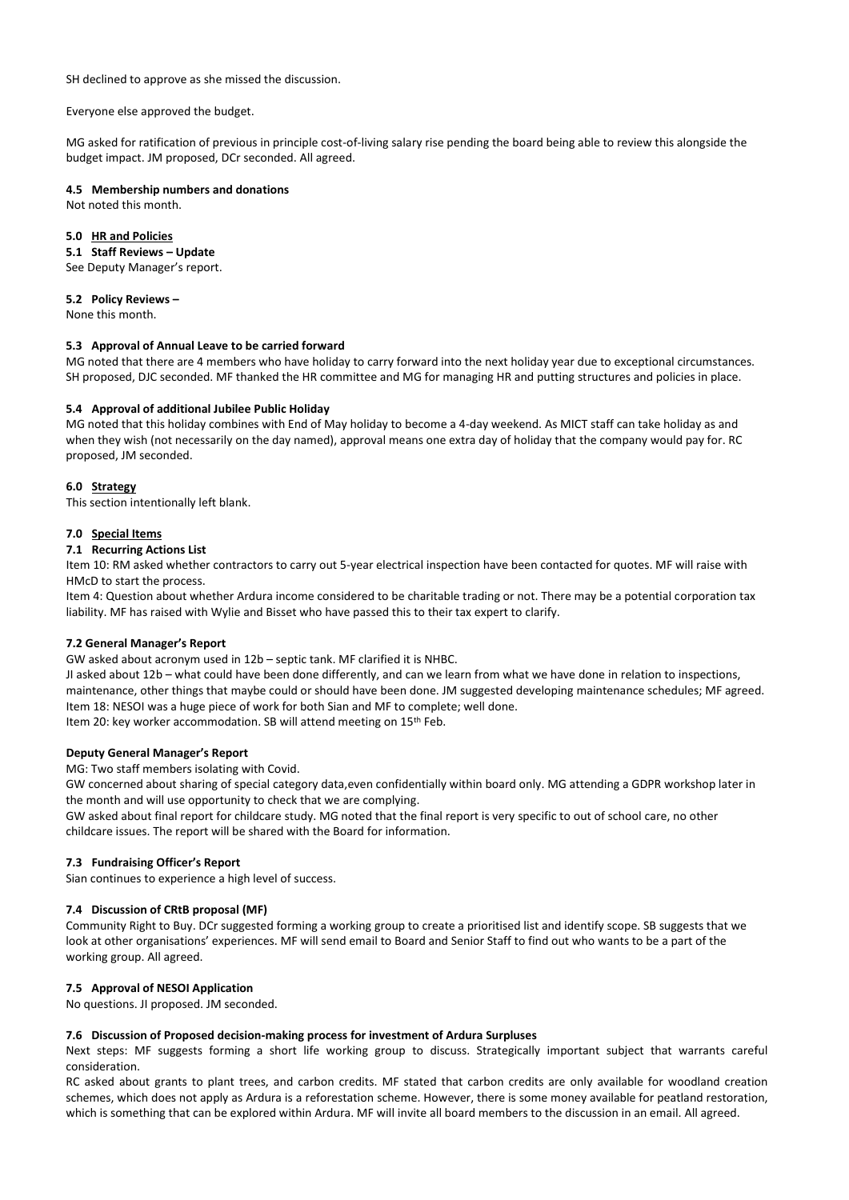SH declined to approve as she missed the discussion.

Everyone else approved the budget.

MG asked for ratification of previous in principle cost-of-living salary rise pending the board being able to review this alongside the budget impact. JM proposed, DCr seconded. All agreed.

# **4.5 Membership numbers and donations**

Not noted this month.

### **5.0 HR and Policies**

### **5.1 Staff Reviews – Update**

See Deputy Manager's report.

#### **5.2 Policy Reviews –**

None this month.

### **5.3 Approval of Annual Leave to be carried forward**

MG noted that there are 4 members who have holiday to carry forward into the next holiday year due to exceptional circumstances. SH proposed, DJC seconded. MF thanked the HR committee and MG for managing HR and putting structures and policies in place.

### **5.4 Approval of additional Jubilee Public Holiday**

MG noted that this holiday combines with End of May holiday to become a 4-day weekend. As MICT staff can take holiday as and when they wish (not necessarily on the day named), approval means one extra day of holiday that the company would pay for. RC proposed, JM seconded.

#### **6.0 Strategy**

This section intentionally left blank.

#### **7.0 Special Items**

### **7.1 Recurring Actions List**

Item 10: RM asked whether contractors to carry out 5-year electrical inspection have been contacted for quotes. MF will raise with HMcD to start the process.

Item 4: Question about whether Ardura income considered to be charitable trading or not. There may be a potential corporation tax liability. MF has raised with Wylie and Bisset who have passed this to their tax expert to clarify.

#### **7.2 General Manager's Report**

GW asked about acronym used in 12b – septic tank. MF clarified it is NHBC.

JI asked about 12b – what could have been done differently, and can we learn from what we have done in relation to inspections, maintenance, other things that maybe could or should have been done. JM suggested developing maintenance schedules; MF agreed. Item 18: NESOI was a huge piece of work for both Sian and MF to complete; well done. Item 20: key worker accommodation. SB will attend meeting on 15th Feb.

#### **Deputy General Manager's Report**

MG: Two staff members isolating with Covid.

GW concerned about sharing of special category data,even confidentially within board only. MG attending a GDPR workshop later in the month and will use opportunity to check that we are complying.

GW asked about final report for childcare study. MG noted that the final report is very specific to out of school care, no other childcare issues. The report will be shared with the Board for information.

#### **7.3 Fundraising Officer's Report**

Sian continues to experience a high level of success.

### **7.4 Discussion of CRtB proposal (MF)**

Community Right to Buy. DCr suggested forming a working group to create a prioritised list and identify scope. SB suggests that we look at other organisations' experiences. MF will send email to Board and Senior Staff to find out who wants to be a part of the working group. All agreed.

### **7.5 Approval of NESOI Application**

No questions. JI proposed. JM seconded.

### **7.6 Discussion of Proposed decision-making process for investment of Ardura Surpluses**

Next steps: MF suggests forming a short life working group to discuss. Strategically important subject that warrants careful consideration.

RC asked about grants to plant trees, and carbon credits. MF stated that carbon credits are only available for woodland creation schemes, which does not apply as Ardura is a reforestation scheme. However, there is some money available for peatland restoration, which is something that can be explored within Ardura. MF will invite all board members to the discussion in an email. All agreed.